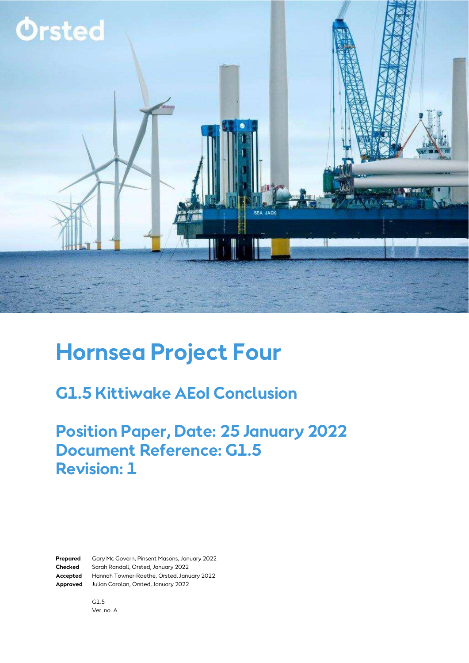

# **Hornsea Project Four**

### **G1.5 Kittiwake AEoI Conclusion**

#### **Position Paper, Date: 25 January 2022 Document Reference: G1.5 Revision: 1**

**Prepared** Gary Mc Govern, Pinsent Masons, January 2022 **Checked** Sarah Randall, Orsted, January 2022 **Accepted** Hannah Towner-Roethe, Orsted, January 2022 **Approved** Julian Carolan, Orsted, January 2022

> G1.5 Ver. no. A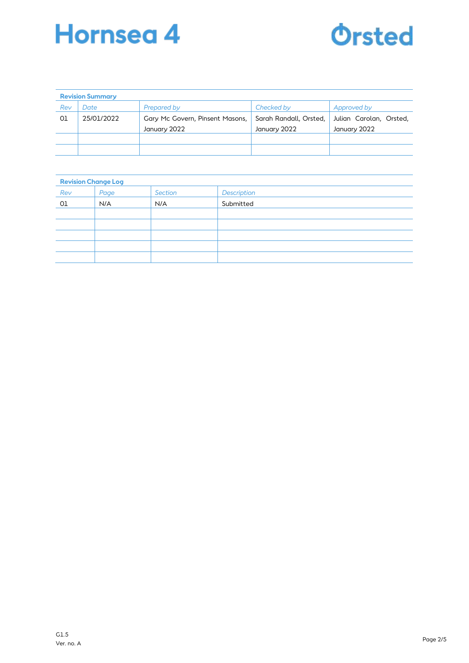



| <b>Revision Summary</b> |            |                                 |                        |                         |  |  |  |
|-------------------------|------------|---------------------------------|------------------------|-------------------------|--|--|--|
| Rev                     | Date       | Prepared by                     | Checked by             | Approved by             |  |  |  |
| 01                      | 25/01/2022 | Gary Mc Govern, Pinsent Masons, | Sarah Randall, Orsted, | Julian Carolan, Orsted, |  |  |  |
|                         |            | January 2022                    | January 2022           | January 2022            |  |  |  |
|                         |            |                                 |                        |                         |  |  |  |
|                         |            |                                 |                        |                         |  |  |  |

| <b>Revision Change Log</b> |      |         |             |  |  |  |
|----------------------------|------|---------|-------------|--|--|--|
| Rev                        | Page | Section | Description |  |  |  |
| O1                         | N/A  | N/A     | Submitted   |  |  |  |
|                            |      |         |             |  |  |  |
|                            |      |         |             |  |  |  |
|                            |      |         |             |  |  |  |
|                            |      |         |             |  |  |  |
|                            |      |         |             |  |  |  |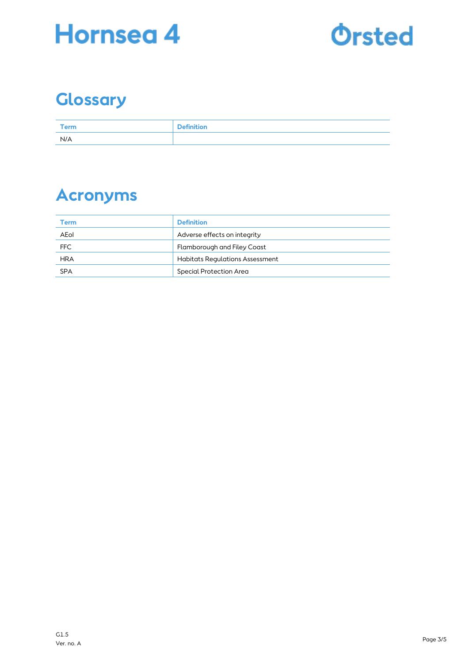



# **Glossary**

| Term | <b>Definition</b> |
|------|-------------------|
| N/A  |                   |

## **Acronyms**

| Term       | <b>Definition</b>                      |
|------------|----------------------------------------|
| AEol       | Adverse effects on integrity           |
| <b>FFC</b> | Flamborough and Filey Coast            |
| <b>HRA</b> | <b>Habitats Regulations Assessment</b> |
| <b>SPA</b> | Special Protection Area                |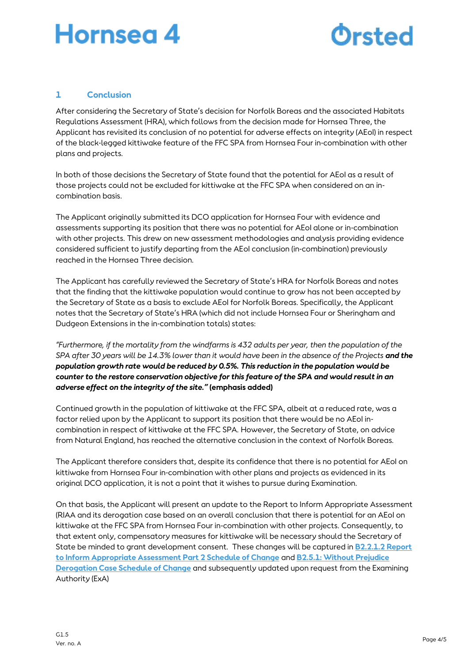# Hornsea 4



#### **1 Conclusion**

After considering the Secretary of State's decision for Norfolk Boreas and the associated Habitats Regulations Assessment (HRA), which follows from the decision made for Hornsea Three, the Applicant has revisited its conclusion of no potential for adverse effects on integrity (AEoI) in respect of the black-legged kittiwake feature of the FFC SPA from Hornsea Four in-combination with other plans and projects.

In both of those decisions the Secretary of State found that the potential for AEoI as a result of those projects could not be excluded for kittiwake at the FFC SPA when considered on an incombination basis.

The Applicant originally submitted its DCO application for Hornsea Four with evidence and assessments supporting its position that there was no potential for AEoI alone or in-combination with other projects. This drew on new assessment methodologies and analysis providing evidence considered sufficient to justify departing from the AEoI conclusion (in-combination) previously reached in the Hornsea Three decision.

The Applicant has carefully reviewed the Secretary of State's HRA for Norfolk Boreas and notes that the finding that the kittiwake population would continue to grow has not been accepted by the Secretary of State as a basis to exclude AEoI for Norfolk Boreas. Specifically, the Applicant notes that the Secretary of State's HRA (which did not include Hornsea Four or Sheringham and Dudgeon Extensions in the in-combination totals) states:

*"Furthermore, if the mortality from the windfarms is 432 adults per year, then the population of the SPA after 30 years will be 14.3% lower than it would have been in the absence of the Projects and the population growth rate would be reduced by 0.5%. This reduction in the population would be counter to the restore conservation objective for this feature of the SPA and would result in an adverse effect on the integrity of the site."* **(emphasis added)**

Continued growth in the population of kittiwake at the FFC SPA, albeit at a reduced rate, was a factor relied upon by the Applicant to support its position that there would be no AEoI incombination in respect of kittiwake at the FFC SPA. However, the Secretary of State, on advice from Natural England, has reached the alternative conclusion in the context of Norfolk Boreas.

The Applicant therefore considers that, despite its confidence that there is no potential for AEoI on kittiwake from Hornsea Four in-combination with other plans and projects as evidenced in its original DCO application, it is not a point that it wishes to pursue during Examination.

On that basis, the Applicant will present an update to the Report to Inform Appropriate Assessment (RIAA and its derogation case based on an overall conclusion that there is potential for an AEoI on kittiwake at the FFC SPA from Hornsea Four in-combination with other projects. Consequently, to that extent only, compensatory measures for kittiwake will be necessary should the Secretary of State be minded to grant development consent. These changes will be captured in **[B2.2.1.2 Report](https://infrastructure.planninginspectorate.gov.uk/wp-content/ipc/uploads/projects/EN010098/EN010098-000884-B2.2.1.2%20Report%20to%20Inform%20Appropriate%20Assessment%20Part%202%20Schedule%20of%20Change.pdf)  [to Inform Appropriate Assessment Part 2 Schedule of Change](https://infrastructure.planninginspectorate.gov.uk/wp-content/ipc/uploads/projects/EN010098/EN010098-000884-B2.2.1.2%20Report%20to%20Inform%20Appropriate%20Assessment%20Part%202%20Schedule%20of%20Change.pdf)** and **[B2.5.1: Without Prejudice](https://infrastructure.planninginspectorate.gov.uk/wp-content/ipc/uploads/projects/EN010098/EN010098-000886-B2.5.1%20Without%20Prejudice%20Derogation%20Case%20Schedule%20of%20Changes.pdf)  [Derogation Case Schedule of Change](https://infrastructure.planninginspectorate.gov.uk/wp-content/ipc/uploads/projects/EN010098/EN010098-000886-B2.5.1%20Without%20Prejudice%20Derogation%20Case%20Schedule%20of%20Changes.pdf)** and subsequently updated upon request from the Examining Authority (ExA)